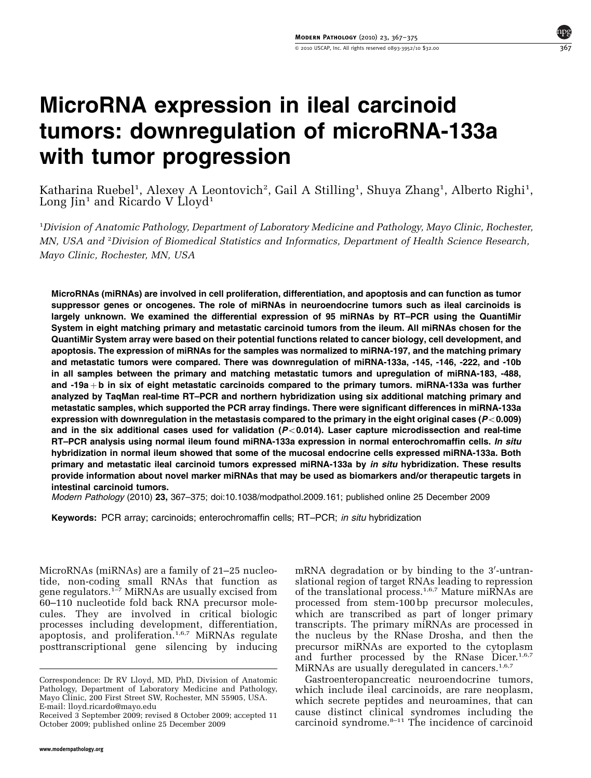# MicroRNA expression in ileal carcinoid tumors: downregulation of microRNA-133a with tumor progression

Katharina Ruebel<sup>1</sup>, Alexey A Leontovich<sup>2</sup>, Gail A Stilling<sup>1</sup>, Shuya Zhang<sup>1</sup>, Alberto Righi<sup>1</sup>, Long  $\text{lin}^1$  and Ricardo V Lloyd<sup>1</sup>

<sup>1</sup>Division of Anatomic Pathology, Department of Laboratory Medicine and Pathology, Mayo Clinic, Rochester, MN, USA and <sup>2</sup>Division of Biomedical Statistics and Informatics, Department of Health Science Research, Mayo Clinic, Rochester, MN, USA

MicroRNAs (miRNAs) are involved in cell proliferation, differentiation, and apoptosis and can function as tumor suppressor genes or oncogenes. The role of miRNAs in neuroendocrine tumors such as ileal carcinoids is largely unknown. We examined the differential expression of 95 miRNAs by RT–PCR using the QuantiMir System in eight matching primary and metastatic carcinoid tumors from the ileum. All miRNAs chosen for the QuantiMir System array were based on their potential functions related to cancer biology, cell development, and apoptosis. The expression of miRNAs for the samples was normalized to miRNA-197, and the matching primary and metastatic tumors were compared. There was downregulation of miRNA-133a, -145, -146, -222, and -10b in all samples between the primary and matching metastatic tumors and upregulation of miRNA-183, -488, and -19a + b in six of eight metastatic carcinoids compared to the primary tumors. miRNA-133a was further analyzed by TaqMan real-time RT–PCR and northern hybridization using six additional matching primary and metastatic samples, which supported the PCR array findings. There were significant differences in miRNA-133a expression with downregulation in the metastasis compared to the primary in the eight original cases ( $P<0.009$ ) and in the six additional cases used for validation  $(P<0.014)$ . Laser capture microdissection and real-time RT-PCR analysis using normal ileum found miRNA-133a expression in normal enterochromaffin cells. In situ hybridization in normal ileum showed that some of the mucosal endocrine cells expressed miRNA-133a. Both primary and metastatic ileal carcinoid tumors expressed miRNA-133a by in situ hybridization. These results provide information about novel marker miRNAs that may be used as biomarkers and/or therapeutic targets in intestinal carcinoid tumors.

Modern Pathology (2010) 23, 367–375; doi[:10.1038/modpathol.2009.161](http://dx.doi.org/10.1038/modpathol.2009.161); published online 25 December 2009

Keywords: PCR array; carcinoids; enterochromaffin cells; RT-PCR; in situ hybridization

MicroRNAs (miRNAs) are a family of 21–25 nucleotide, non-coding small RNAs that function as gene regulators.[1–7](#page-7-0) MiRNAs are usually excised from 60–110 nucleotide fold back RNA precursor molecules. They are involved in critical biologic processes including development, differentiation, apoptosis, and proliferation.<sup>[1,6,7](#page-7-0)</sup> MiRNAs regulate posttranscriptional gene silencing by inducing

mRNA degradation or by binding to the 3'-untranslational region of target RNAs leading to repression of the translational process.<sup>[1,6,7](#page-7-0)</sup> Mature miRNAs are processed from stem-100 bp precursor molecules, which are transcribed as part of longer primary transcripts. The primary miRNAs are processed in the nucleus by the RNase Drosha, and then the precursor miRNAs are exported to the cytoplasm and further processed by the RNase Dicer.<sup>[1,6,7](#page-7-0)</sup> MiRNAs are usually deregulated in cancers.<sup>[1,6,7](#page-7-0)</sup>

Gastroenteropancreatic neuroendocrine tumors, which include ileal carcinoids, are rare neoplasm, which secrete peptides and neuroamines, that can cause distinct clinical syndromes including the Received 3 September 2009; revised 8 October 2009; accepted 11 Cause distinct Clinical syndromes including the<br>October 2009; published online 25 December 2009 carcinoid syndrome.<sup>[8–11](#page-8-0)</sup> The incidence of carcinoid

Correspondence: Dr RV Lloyd, MD, PhD, Division of Anatomic Pathology, Department of Laboratory Medicine and Pathology, Mayo Clinic, 200 First Street SW, Rochester, MN 55905, USA. E-mail: [lloyd.ricardo@mayo.edu](mailto:lloyd.ricardo@mayo.edu)

October 2009; published online 25 December 2009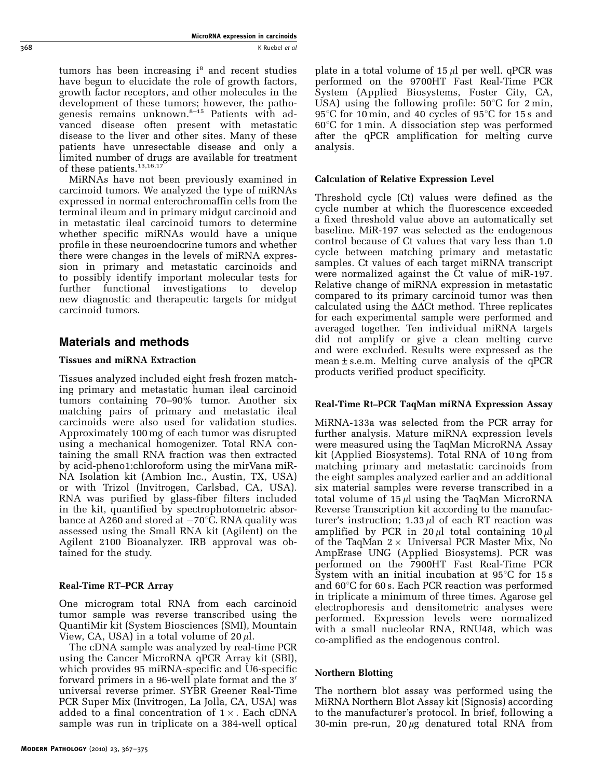MicroRNA expression in carcinoids 368 K Ruebel et al. 2008 K Ruebel et al. 2009 K Ruebel et al. 2009 K Ruebel et al.

> tumors has been increasing  $i<sup>s</sup>$  and recent studies have begun to elucidate the role of growth factors, growth factor receptors, and other molecules in the development of these tumors; however, the pathogenesis remains unknown.<sup>8-15</sup> Patients with advanced disease often present with metastatic disease to the liver and other sites. Many of these patients have unresectable disease and only a limited number of drugs are available for treatment of these patients.<sup>[13,16,17](#page-8-0)</sup>

> MiRNAs have not been previously examined in carcinoid tumors. We analyzed the type of miRNAs expressed in normal enterochromaffin cells from the terminal ileum and in primary midgut carcinoid and in metastatic ileal carcinoid tumors to determine whether specific miRNAs would have a unique profile in these neuroendocrine tumors and whether there were changes in the levels of miRNA expression in primary and metastatic carcinoids and to possibly identify important molecular tests for further functional investigations to develop new diagnostic and therapeutic targets for midgut carcinoid tumors.

# Materials and methods

## Tissues and miRNA Extraction

Tissues analyzed included eight fresh frozen matching primary and metastatic human ileal carcinoid tumors containing 70–90% tumor. Another six matching pairs of primary and metastatic ileal carcinoids were also used for validation studies. Approximately 100 mg of each tumor was disrupted using a mechanical homogenizer. Total RNA containing the small RNA fraction was then extracted by acid-pheno1:chloroform using the mirVana miR-NA Isolation kit (Ambion Inc., Austin, TX, USA) or with Trizol (Invitrogen, Carlsbad, CA, USA). RNA was purified by glass-fiber filters included in the kit, quantified by spectrophotometric absorbance at A260 and stored at  $-70^{\circ}\bar{C}.$  RNA quality was assessed using the Small RNA kit (Agilent) on the Agilent 2100 Bioanalyzer. IRB approval was obtained for the study.

## Real-Time RT–PCR Array

One microgram total RNA from each carcinoid tumor sample was reverse transcribed using the QuantiMir kit (System Biosciences (SMI), Mountain View, CA, USA) in a total volume of  $20 \mu l$ .

The cDNA sample was analyzed by real-time PCR using the Cancer MicroRNA qPCR Array kit (SBI), which provides 95 miRNA-specific and U6-specific forward primers in a 96-well plate format and the 3' universal reverse primer. SYBR Greener Real-Time PCR Super Mix (Invitrogen, La Jolla, CA, USA) was added to a final concentration of  $1 \times$ . Each cDNA sample was run in triplicate on a 384-well optical

plate in a total volume of  $15 \mu l$  per well. qPCR was performed on the 9700HT Fast Real-Time PCR System (Applied Biosystems, Foster City, CA, USA) using the following profile:  $50^{\circ}$ C for 2 min, 95°C for 10 min, and 40 cycles of 95°C for 15 s and  $60^{\circ}$ C for 1 min. A dissociation step was performed after the qPCR amplification for melting curve analysis.

## Calculation of Relative Expression Level

Threshold cycle (Ct) values were defined as the cycle number at which the fluorescence exceeded a fixed threshold value above an automatically set baseline. MiR-197 was selected as the endogenous control because of Ct values that vary less than 1.0 cycle between matching primary and metastatic samples. Ct values of each target miRNA transcript were normalized against the Ct value of miR-197. Relative change of miRNA expression in metastatic compared to its primary carcinoid tumor was then calculated using the  $\Delta\Delta$ Ct method. Three replicates for each experimental sample were performed and averaged together. Ten individual miRNA targets did not amplify or give a clean melting curve and were excluded. Results were expressed as the mean  $\pm$  s.e.m. Melting curve analysis of the qPCR products verified product specificity.

## Real-Time Rt–PCR TaqMan miRNA Expression Assay

MiRNA-133a was selected from the PCR array for further analysis. Mature miRNA expression levels were measured using the TaqMan MicroRNA Assay kit (Applied Biosystems). Total RNA of 10 ng from matching primary and metastatic carcinoids from the eight samples analyzed earlier and an additional six material samples were reverse transcribed in a total volume of  $15 \mu l$  using the TaqMan MicroRNA Reverse Transcription kit according to the manufacturer's instruction;  $1.33 \mu l$  of each RT reaction was amplified by PCR in  $20 \mu l$  total containing  $10 \mu l$ of the TaqMan  $2 \times$  Universal PCR Master Mix, No AmpErase UNG (Applied Biosystems). PCR was performed on the 7900HT Fast Real-Time PCR System with an initial incubation at  $95^{\circ}$ C for  $15 s$ and  $60^{\circ}$ C for 60 s. Each PCR reaction was performed in triplicate a minimum of three times. Agarose gel electrophoresis and densitometric analyses were performed. Expression levels were normalized with a small nucleolar RNA, RNU48, which was co-amplified as the endogenous control.

## Northern Blotting

The northern blot assay was performed using the MiRNA Northern Blot Assay kit (Signosis) according to the manufacturer's protocol. In brief, following a 30-min pre-run,  $20 \mu g$  denatured total RNA from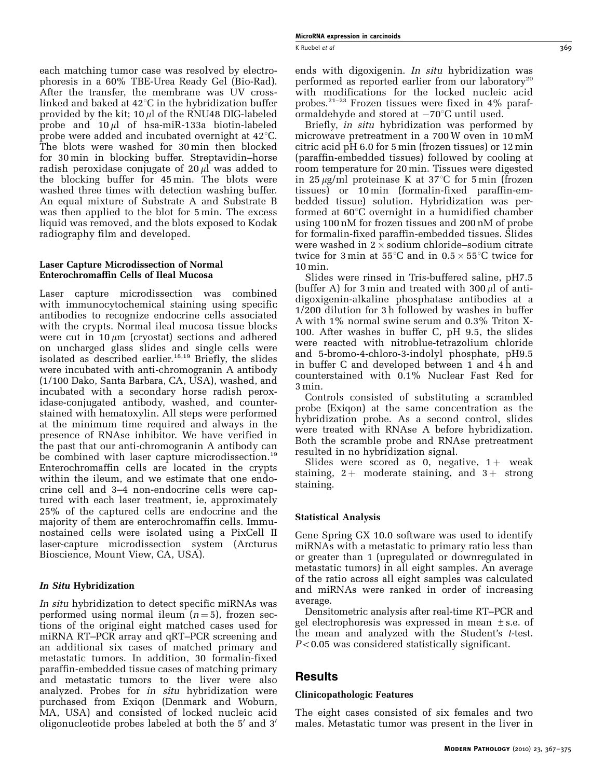each matching tumor case was resolved by electrophoresis in a 60% TBE-Urea Ready Gel (Bio-Rad). After the transfer, the membrane was UV crosslinked and baked at  $42^{\circ}$ C in the hybridization buffer provided by the kit;  $10 \mu l$  of the RNU48 DIG-labeled probe and  $10 \mu l$  of hsa-miR-133a biotin-labeled probe were added and incubated overnight at  $42^{\circ}$ C. The blots were washed for 30 min then blocked for 30 min in blocking buffer. Streptavidin–horse radish peroxidase conjugate of  $20 \mu$  was added to the blocking buffer for 45 min. The blots were washed three times with detection washing buffer. An equal mixture of Substrate A and Substrate B was then applied to the blot for 5 min. The excess liquid was removed, and the blots exposed to Kodak radiography film and developed.

#### Laser Capture Microdissection of Normal Enterochromaffin Cells of Ileal Mucosa

Laser capture microdissection was combined with immunocytochemical staining using specific antibodies to recognize endocrine cells associated with the crypts. Normal ileal mucosa tissue blocks were cut in 10  $\mu$ m (cryostat) sections and adhered on uncharged glass slides and single cells were isolated as described earlier.<sup>[18,19](#page-8-0)</sup> Briefly, the slides were incubated with anti-chromogranin A antibody (1/100 Dako, Santa Barbara, CA, USA), washed, and incubated with a secondary horse radish peroxidase-conjugated antibody, washed, and counterstained with hematoxylin. All steps were performed at the minimum time required and always in the presence of RNAse inhibitor. We have verified in the past that our anti-chromogranin A antibody can be combined with laser capture microdissection.<sup>19</sup> Enterochromaffin cells are located in the crypts within the ileum, and we estimate that one endocrine cell and 3–4 non-endocrine cells were captured with each laser treatment, ie, approximately 25% of the captured cells are endocrine and the majority of them are enterochromaffin cells. Immunostained cells were isolated using a PixCell II laser-capture microdissection system (Arcturus Bioscience, Mount View, CA, USA).

#### In Situ Hybridization

In situ hybridization to detect specific miRNAs was performed using normal ileum  $(n=5)$ , frozen sections of the original eight matched cases used for miRNA RT–PCR array and qRT–PCR screening and an additional six cases of matched primary and metastatic tumors. In addition, 30 formalin-fixed paraffin-embedded tissue cases of matching primary and metastatic tumors to the liver were also analyzed. Probes for *in situ* hybridization were purchased from Exiqon (Denmark and Woburn, MA, USA) and consisted of locked nucleic acid oligonucleotide probes labeled at both the 5' and 3'

ends with digoxigenin. In situ hybridization was performed as reported earlier from our laboratory<sup>[20](#page-8-0)</sup> with modifications for the locked nucleic acid probes.<sup>[21–23](#page-8-0)</sup> Frozen tissues were fixed in  $4\%$  paraformaldehyde and stored at  $-70^{\circ}\mathrm{C}$  until used.

Briefly, in situ hybridization was performed by microwave pretreatment in a 700 W oven in 10 mM citric acid pH 6.0 for 5 min (frozen tissues) or 12 min (paraffin-embedded tissues) followed by cooling at room temperature for 20 min. Tissues were digested in 25  $\mu$ g/ml proteinase K at 37<sup>°</sup>C for 5 min (frozen tissues) or 10 min (formalin-fixed paraffin-embedded tissue) solution. Hybridization was performed at  $60^{\circ}$ C overnight in a humidified chamber using 100 nM for frozen tissues and 200 nM of probe for formalin-fixed paraffin-embedded tissues. Slides were washed in  $2 \times$  sodium chloride–sodium citrate twice for 3 min at  $55^{\circ}$ C and in  $0.5 \times 55^{\circ}$ C twice for 10 min.

Slides were rinsed in Tris-buffered saline, pH7.5 (buffer A) for 3 min and treated with  $300 \mu l$  of antidigoxigenin-alkaline phosphatase antibodies at a 1/200 dilution for 3 h followed by washes in buffer A with 1% normal swine serum and 0.3% Triton X-100. After washes in buffer C, pH 9.5, the slides were reacted with nitroblue-tetrazolium chloride and 5-bromo-4-chloro-3-indolyl phosphate, pH9.5 in buffer C and developed between 1 and 4 h and counterstained with 0.1% Nuclear Fast Red for 3 min.

Controls consisted of substituting a scrambled probe (Exiqon) at the same concentration as the hybridization probe. As a second control, slides were treated with RNAse A before hybridization. Both the scramble probe and RNAse pretreatment resulted in no hybridization signal.

Slides were scored as 0, negative,  $1+$  weak staining,  $2 +$  moderate staining, and  $3 +$  strong staining.

#### Statistical Analysis

Gene Spring GX 10.0 software was used to identify miRNAs with a metastatic to primary ratio less than or greater than 1 (upregulated or downregulated in metastatic tumors) in all eight samples. An average of the ratio across all eight samples was calculated and miRNAs were ranked in order of increasing average.

Densitometric analysis after real-time RT–PCR and gel electrophoresis was expressed in mean ±s.e. of the mean and analyzed with the Student's t-test.  $P<0.05$  was considered statistically significant.

## Results

#### Clinicopathologic Features

The eight cases consisted of six females and two males. Metastatic tumor was present in the liver in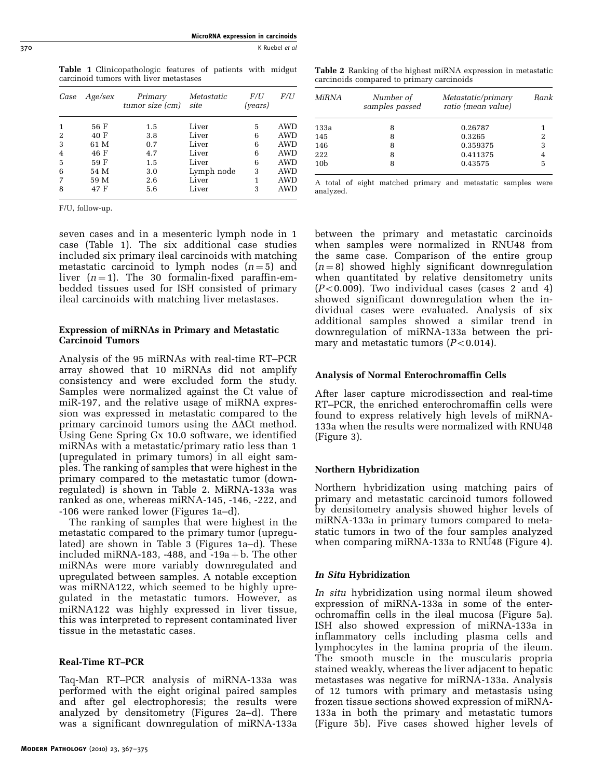MicroRNA expression in carcinoids 370 K Ruebel *et al.* 200

> Table 1 Clinicopathologic features of patients with midgut carcinoid tumors with liver metastases

| Case           | Age/sex | Primary<br>tumor size (cm) | Metastatic<br>site | F/I<br>(years) | F/U        |
|----------------|---------|----------------------------|--------------------|----------------|------------|
|                | 56 F    | 1.5                        | Liver              | 5              | <b>AWD</b> |
| 2              | 40 F    | 3.8                        | Liver              | 6              | <b>AWD</b> |
| 3              | 61 M    | 0.7                        | Liver              | 6              | <b>AWD</b> |
| $\overline{4}$ | 46 F    | 4.7                        | Liver              | 6              | <b>AWD</b> |
| 5              | 59 F    | 1.5                        | Liver              | 6              | <b>AWD</b> |
| 6              | 54 M    | 3.0                        | Lymph node         | 3              | AWD        |
|                | 59 M    | 2.6                        | Liver              | 1              | <b>AWD</b> |
| 8              | 47 F    | 5.6                        | Liver              | 3              | <b>AWD</b> |

F/U, follow-up.

seven cases and in a mesenteric lymph node in 1 case (Table 1). The six additional case studies included six primary ileal carcinoids with matching metastatic carcinoid to lymph nodes  $(n=5)$  and liver  $(n=1)$ . The 30 formalin-fixed paraffin-embedded tissues used for ISH consisted of primary ileal carcinoids with matching liver metastases.

#### Expression of miRNAs in Primary and Metastatic Carcinoid Tumors

Analysis of the 95 miRNAs with real-time RT–PCR array showed that 10 miRNAs did not amplify consistency and were excluded form the study. Samples were normalized against the Ct value of miR-197, and the relative usage of miRNA expression was expressed in metastatic compared to the primary carcinoid tumors using the  $\Delta\Delta$ Ct method. Using Gene Spring Gx 10.0 software, we identified miRNAs with a metastatic/primary ratio less than 1 (upregulated in primary tumors) in all eight samples. The ranking of samples that were highest in the primary compared to the metastatic tumor (downregulated) is shown in Table 2. MiRNA-133a was ranked as one, whereas miRNA-145, -146, -222, and -106 were ranked lower ([Figures 1a–d](#page-4-0)).

The ranking of samples that were highest in the metastatic compared to the primary tumor (upregulated) are shown in [Table 3](#page-4-0) [\(Figures 1a–d\)](#page-4-0). These included miRNA-183, -488, and -19a + b. The other miRNAs were more variably downregulated and upregulated between samples. A notable exception was miRNA122, which seemed to be highly upregulated in the metastatic tumors. However, as miRNA122 was highly expressed in liver tissue, this was interpreted to represent contaminated liver tissue in the metastatic cases.

## Real-Time RT–PCR

Taq-Man RT–PCR analysis of miRNA-133a was performed with the eight original paired samples and after gel electrophoresis; the results were analyzed by densitometry ([Figures 2a–d\)](#page-5-0). There was a significant downregulation of miRNA-133a

#### Table 2 Ranking of the highest miRNA expression in metastatic carcinoids compared to primary carcinoids

| MiRNA           | Number of<br>samples passed | Metastatic/primary<br>ratio (mean value) | <b>Bank</b> |
|-----------------|-----------------------------|------------------------------------------|-------------|
| 133a            | 8                           | 0.26787                                  |             |
| 145             | 8                           | 0.3265                                   |             |
| 146             | 8                           | 0.359375                                 | 3           |
| 222             | 8                           | 0.411375                                 |             |
| 10 <sub>b</sub> | 8                           | 0.43575                                  | 5           |

A total of eight matched primary and metastatic samples were analyzed.

between the primary and metastatic carcinoids when samples were normalized in RNU48 from the same case. Comparison of the entire group  $(n = 8)$  showed highly significant downregulation when quantitated by relative densitometry units  $(P<0.009)$ . Two individual cases (cases 2 and 4) showed significant downregulation when the individual cases were evaluated. Analysis of six additional samples showed a similar trend in downregulation of miRNA-133a between the primary and metastatic tumors  $(P<0.014)$ .

## Analysis of Normal Enterochromaffin Cells

After laser capture microdissection and real-time RT–PCR, the enriched enterochromaffin cells were found to express relatively high levels of miRNA-133a when the results were normalized with RNU48 ([Figure 3](#page-6-0)).

## Northern Hybridization

Northern hybridization using matching pairs of primary and metastatic carcinoid tumors followed by densitometry analysis showed higher levels of miRNA-133a in primary tumors compared to metastatic tumors in two of the four samples analyzed when comparing miRNA-133a to RNU48 [\(Figure 4](#page-6-0)).

## In Situ Hybridization

In situ hybridization using normal ileum showed expression of miRNA-133a in some of the enterochromaffin cells in the ileal mucosa ([Figure 5a](#page-7-0)). ISH also showed expression of miRNA-133a in inflammatory cells including plasma cells and lymphocytes in the lamina propria of the ileum. The smooth muscle in the muscularis propria stained weakly, whereas the liver adjacent to hepatic metastases was negative for miRNA-133a. Analysis of 12 tumors with primary and metastasis using frozen tissue sections showed expression of miRNA-133a in both the primary and metastatic tumors ([Figure 5b\)](#page-7-0). Five cases showed higher levels of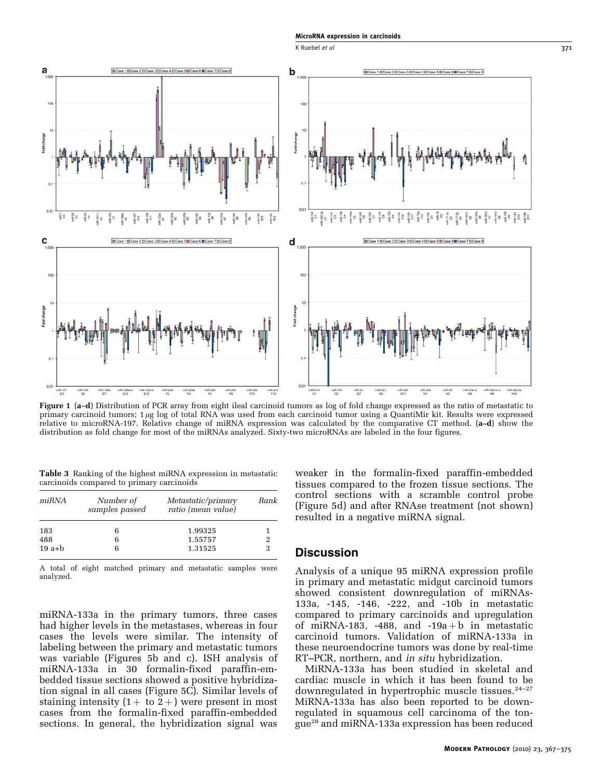K Ruebel *et al* 371

<span id="page-4-0"></span>

Figure 1 (a–d) Distribution of PCR array from eight ileal carcinoid tumors as log of fold change expressed as the ratio of metastatic to primary carcinoid tumors;  $1 \mu$ g log of total RNA was used from each carcinoid tumor using a QuantiMir kit. Results were expressed relative to microRNA-197. Relative change of miRNA expression was calculated by the comparative CT method. (a–d) show the distribution as fold change for most of the miRNAs analyzed. Sixty-two microRNAs are labeled in the four figures.

Table 3 Ranking of the highest miRNA expression in metastatic carcinoids compared to primary carcinoids

| miRNA    | Number of<br>samples passed | Metastatic/primary<br>ratio (mean value) | Rank |
|----------|-----------------------------|------------------------------------------|------|
| 183      | 6                           | 1.99325                                  |      |
| 488      | 6                           | 1.55757                                  |      |
| $19$ a+b |                             | 1.31525                                  |      |

A total of eight matched primary and metastatic samples were analyzed.

miRNA-133a in the primary tumors, three cases had higher levels in the metastases, whereas in four cases the levels were similar. The intensity of labeling between the primary and metastatic tumors was variable ([Figures 5b and c](#page-7-0)). ISH analysis of miRNA-133a in 30 formalin-fixed paraffin-embedded tissue sections showed a positive hybridization signal in all cases [\(Figure 5C\)](#page-7-0). Similar levels of staining intensity  $(1 + to 2 +)$  were present in most cases from the formalin-fixed paraffin-embedded sections. In general, the hybridization signal was

weaker in the formalin-fixed paraffin-embedded tissues compared to the frozen tissue sections. The control sections with a scramble control probe [\(Figure 5d\)](#page-7-0) and after RNAse treatment (not shown) resulted in a negative miRNA signal.

#### **Discussion**

Analysis of a unique 95 miRNA expression profile in primary and metastatic midgut carcinoid tumors showed consistent downregulation of miRNAs-133a, -145, -146, -222, and -10b in metastatic compared to primary carcinoids and upregulation of miRNA-183, -488, and -19a+b in metastatic carcinoid tumors. Validation of miRNA-133a in these neuroendocrine tumors was done by real-time RT–PCR, northern, and in situ hybridization.

MiRNA-133a has been studied in skeletal and cardiac muscle in which it has been found to be downregulated in hypertrophic muscle tissues.<sup>[24–27](#page-8-0)</sup> MiRNA-133a has also been reported to be downregulated in squamous cell carcinoma of the tongue[28](#page-8-0) and miRNA-133a expression has been reduced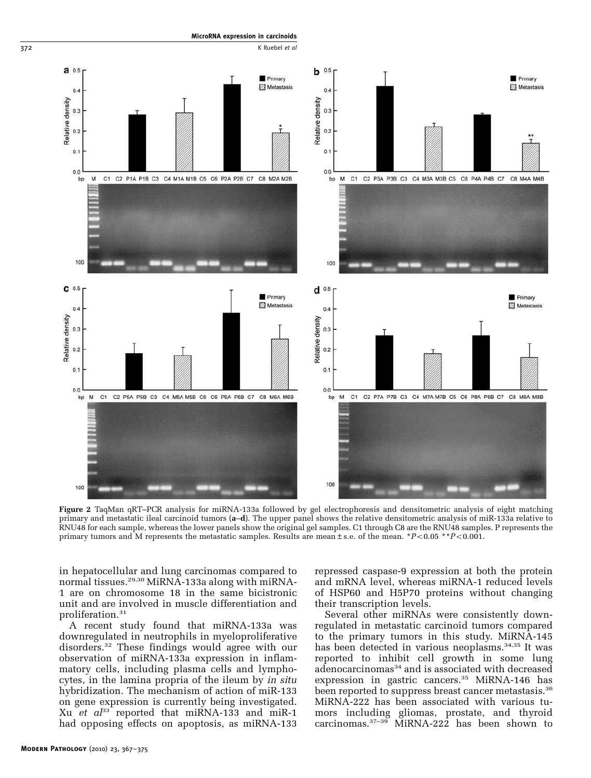<span id="page-5-0"></span>

MicroRNA expression in carcinoids

Figure 2 TaqMan qRT–PCR analysis for miRNA-133a followed by gel electrophoresis and densitometric analysis of eight matching primary and metastatic ileal carcinoid tumors (a–d). The upper panel shows the relative densitometric analysis of miR-133a relative to RNU48 for each sample, whereas the lower panels show the original gel samples. C1 through C8 are the RNU48 samples. P represents the primary tumors and M represents the metastatic samples. Results are mean  $\pm$  s.e. of the mean. \*P<0.05 \*\*P<0.001.

in hepatocellular and lung carcinomas compared to normal tissues.[29,30](#page-8-0) MiRNA-133a along with miRNA-1 are on chromosome 18 in the same bicistronic unit and are involved in muscle differentiation and proliferation.[31](#page-8-0)

A recent study found that miRNA-133a was downregulated in neutrophils in myeloproliferative disorders.[32](#page-8-0) These findings would agree with our observation of miRNA-133a expression in inflammatory cells, including plasma cells and lymphocytes, in the lamina propria of the ileum by in situ hybridization. The mechanism of action of miR-133 on gene expression is currently being investigated. Xu et  $a^{33}$  $a^{33}$  $a^{33}$  reported that miRNA-133 and miR-1 had opposing effects on apoptosis, as miRNA-133 repressed caspase-9 expression at both the protein and mRNA level, whereas miRNA-1 reduced levels of HSP60 and H5P70 proteins without changing their transcription levels.

Several other miRNAs were consistently downregulated in metastatic carcinoid tumors compared to the primary tumors in this study. MiRNA-145 has been detected in various neoplasms.<sup>[34,35](#page-8-0)</sup> It was reported to inhibit cell growth in some lung adenocarcinomas<sup>[34](#page-8-0)</sup> and is associated with decreased expression in gastric cancers.<sup>[35](#page-8-0)</sup> MiRNA-146 has been reported to suppress breast cancer metastasis.<sup>[36](#page-8-0)</sup> MiRNA-222 has been associated with various tumors including gliomas, prostate, and thyroid carcinomas.[37–39](#page-8-0) MiRNA-222 has been shown to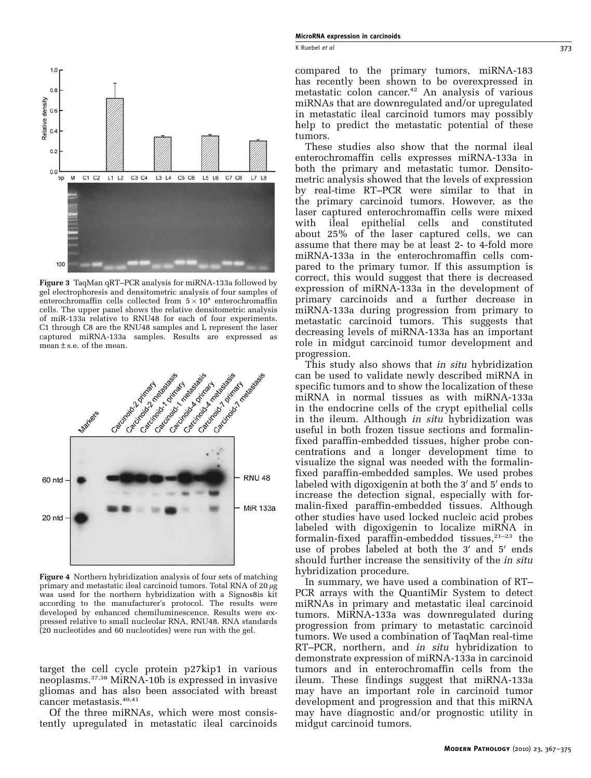K Ruebel *et al* 373

<span id="page-6-0"></span>

Figure 3 TaqMan qRT–PCR analysis for miRNA-133a followed by gel electrophoresis and densitometric analysis of four samples of enterochromaffin cells collected from  $5 \times 10^4$  enterochromaffin cells. The upper panel shows the relative densitometric analysis of miR-133a relative to RNU48 for each of four experiments. C1 through C8 are the RNU48 samples and L represent the laser captured miRNA-133a samples. Results are expressed as mean±s.e. of the mean.



Figure 4 Northern hybridization analysis of four sets of matching primary and metastatic ileal carcinoid tumors. Total RNA of  $20 \mu$ g was used for the northern hybridization with a Signos8is kit according to the manufacturer's protocol. The results were developed by enhanced chemiluminescence. Results were expressed relative to small nucleolar RNA, RNU48. RNA standards (20 nucleotides and 60 nucleotides) were run with the gel.

target the cell cycle protein p27kip1 in various neoplasms.[37,38](#page-8-0) MiRNA-10b is expressed in invasive gliomas and has also been associated with breast cancer metastasis.<sup>[40,41](#page-8-0)</sup>

Of the three miRNAs, which were most consistently upregulated in metastatic ileal carcinoids compared to the primary tumors, miRNA-183 has recently been shown to be overexpressed in metastatic colon cancer.<sup>42</sup> An analysis of various miRNAs that are downregulated and/or upregulated in metastatic ileal carcinoid tumors may possibly help to predict the metastatic potential of these tumors.

These studies also show that the normal ileal enterochromaffin cells expresses miRNA-133a in both the primary and metastatic tumor. Densitometric analysis showed that the levels of expression by real-time RT–PCR were similar to that in the primary carcinoid tumors. However, as the laser captured enterochromaffin cells were mixed with ileal epithelial cells and constituted about 25% of the laser captured cells, we can assume that there may be at least 2- to 4-fold more miRNA-133a in the enterochromaffin cells compared to the primary tumor. If this assumption is correct, this would suggest that there is decreased expression of miRNA-133a in the development of primary carcinoids and a further decrease in miRNA-133a during progression from primary to metastatic carcinoid tumors. This suggests that decreasing levels of miRNA-133a has an important role in midgut carcinoid tumor development and progression.

This study also shows that *in situ* hybridization can be used to validate newly described miRNA in specific tumors and to show the localization of these miRNA in normal tissues as with miRNA-133a in the endocrine cells of the crypt epithelial cells in the ileum. Although in situ hybridization was useful in both frozen tissue sections and formalinfixed paraffin-embedded tissues, higher probe concentrations and a longer development time to visualize the signal was needed with the formalinfixed paraffin-embedded samples. We used probes labeled with digoxigenin at both the 3' and 5' ends to increase the detection signal, especially with formalin-fixed paraffin-embedded tissues. Although other studies have used locked nucleic acid probes labeled with digoxigenin to localize miRNA in formalin-fixed paraffin-embedded tissues, $21-23$  the use of probes labeled at both the  $3'$  and  $5'$  ends should further increase the sensitivity of the *in situ* hybridization procedure.

In summary, we have used a combination of RT– PCR arrays with the QuantiMir System to detect miRNAs in primary and metastatic ileal carcinoid tumors. MiRNA-133a was downregulated during progression from primary to metastatic carcinoid tumors. We used a combination of TaqMan real-time RT–PCR, northern, and *in situ* hybridization to demonstrate expression of miRNA-133a in carcinoid tumors and in enterochromaffin cells from the ileum. These findings suggest that miRNA-133a may have an important role in carcinoid tumor development and progression and that this miRNA may have diagnostic and/or prognostic utility in midgut carcinoid tumors.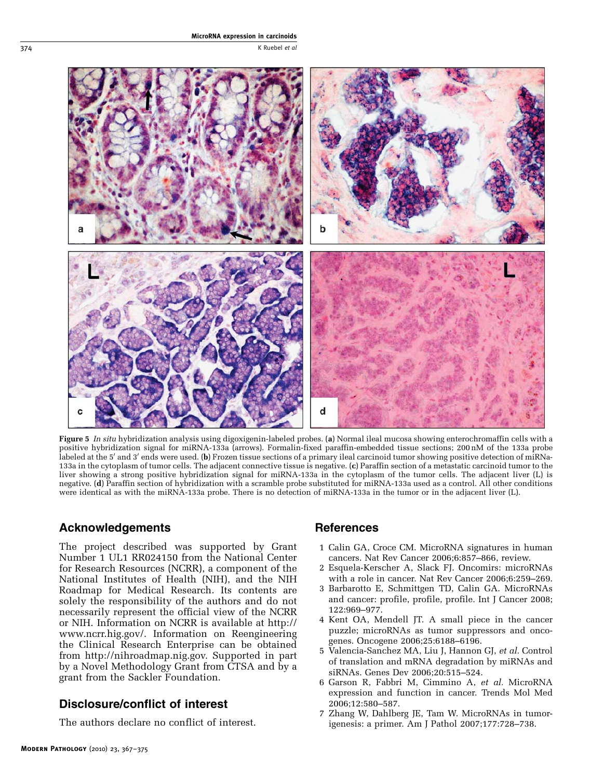<span id="page-7-0"></span>

Figure 5 In situ hybridization analysis using digoxigenin-labeled probes. (a) Normal ileal mucosa showing enterochromaffin cells with a positive hybridization signal for miRNA-133a (arrows). Formalin-fixed paraffin-embedded tissue sections; 200 nM of the 133a probe labeled at the 5' and 3' ends were used. (b) Frozen tissue sections of a primary ileal carcinoid tumor showing positive detection of miRNa-133a in the cytoplasm of tumor cells. The adjacent connective tissue is negative. (c) Paraffin section of a metastatic carcinoid tumor to the liver showing a strong positive hybridization signal for miRNA-133a in the cytoplasm of the tumor cells. The adjacent liver (L) is negative. (d) Paraffin section of hybridization with a scramble probe substituted for miRNA-133a used as a control. All other conditions were identical as with the miRNA-133a probe. There is no detection of miRNA-133a in the tumor or in the adjacent liver (L).

## Acknowledgements

The project described was supported by Grant Number 1 UL1 RR024150 from the National Center for Research Resources (NCRR), a component of the National Institutes of Health (NIH), and the NIH Roadmap for Medical Research. Its contents are solely the responsibility of the authors and do not necessarily represent the official view of the NCRR or NIH. Information on NCRR is available at [http://](http://www.ncrr.hig.gov/) [www.ncrr.hig.gov/.](http://www.ncrr.hig.gov/) Information on Reengineering the Clinical Research Enterprise can be obtained from [http://nihroadmap.nig.gov.](http://nihroadmap.nig.gov) Supported in part by a Novel Methodology Grant from CTSA and by a grant from the Sackler Foundation.

# Disclosure/conflict of interest

The authors declare no conflict of interest.

# **References**

- 1 Calin GA, Croce CM. MicroRNA signatures in human cancers. Nat Rev Cancer 2006;6:857–866, review.
- 2 Esquela-Kerscher A, Slack FJ. Oncomirs: microRNAs with a role in cancer. Nat Rev Cancer 2006;6:259–269.
- 3 Barbarotto E, Schmittgen TD, Calin GA. MicroRNAs and cancer: profile, profile, profile. Int J Cancer 2008; 122:969–977.
- 4 Kent OA, Mendell JT. A small piece in the cancer puzzle; microRNAs as tumor suppressors and oncogenes. Oncogene 2006;25:6188–6196.
- 5 Valencia-Sanchez MA, Liu J, Hannon GJ, et al. Control of translation and mRNA degradation by miRNAs and siRNAs. Genes Dev 2006;20:515–524.
- 6 Garson R, Fabbri M, Cimmino A, et al. MicroRNA expression and function in cancer. Trends Mol Med 2006;12:580–587.
- 7 Zhang W, Dahlberg JE, Tam W. MicroRNAs in tumorigenesis: a primer. Am J Pathol 2007;177:728–738.